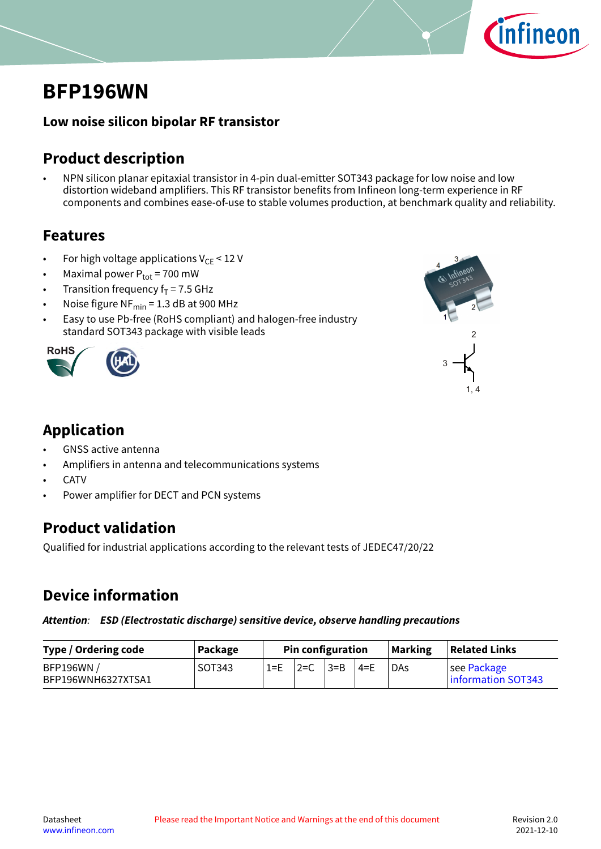

# <span id="page-0-0"></span>**BFP196WN**

### **Low noise silicon bipolar RF transistor**

### **Product description**

• NPN silicon planar epitaxial transistor in 4-pin dual-emitter SOT343 package for low noise and low distortion wideband amplifiers. This RF transistor benefits from Infineon long-term experience in RF components and combines ease-of-use to stable volumes production, at benchmark quality and reliability.

### **Features**

- For high voltage applications  $V_{CE}$  < 12 V
- Maximal power  $P_{tot}$  = 700 mW
- Transition frequency  $f_T = 7.5$  GHz
- Noise figure  $NF_{min} = 1.3$  dB at 900 MHz
- Easy to use Pb-free (RoHS compliant) and halogen-free industry standard SOT343 package with visible leads <sup>2</sup>





## **Application**

- GNSS active antenna
- Amplifiers in antenna and telecommunications systems
- **CATV**
- Power amplifier for DECT and PCN systems

### **Product validation**

Qualified for industrial applications according to the relevant tests of JEDEC47/20/22

## **Device information**

*Attention: ESD (Electrostatic discharge) sensitive device, observe handling precautions*

| Type / Ordering code                   | Package |         | <b>Pin configuration</b> |              |       | <b>Marking</b> | <b>Related Links</b>              |
|----------------------------------------|---------|---------|--------------------------|--------------|-------|----------------|-----------------------------------|
| <b>BFP196WN/</b><br>BFP196WNH6327XTSA1 | SOT343  | $1 = E$ | $2=C$                    | $\exists$ =B | ' 4=F | DAs            | see Package<br>information SOT343 |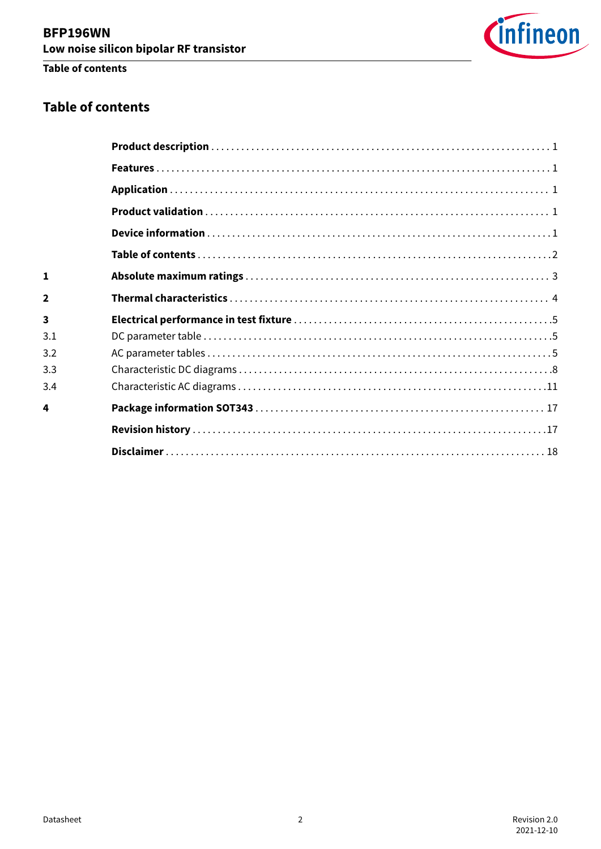

### **Table of contents**

### **Table of contents**

| 1                       |  |
|-------------------------|--|
| $\overline{2}$          |  |
| $\overline{\mathbf{3}}$ |  |
| 3.1                     |  |
| 3.2                     |  |
| 3.3                     |  |
| 3.4                     |  |
| 4                       |  |
|                         |  |
|                         |  |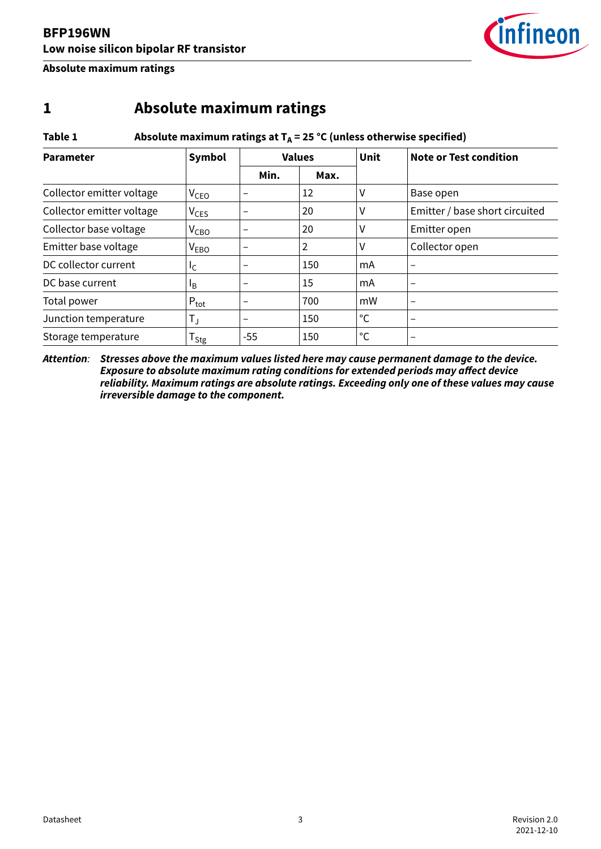

<span id="page-2-0"></span>**Absolute maximum ratings**

### **1 Absolute maximum ratings**

#### Table 1 **Absolute maximum ratings at**  $T_A = 25$  **°C** (unless otherwise specified)

| <b>Parameter</b>          | Symbol                       | <b>Values</b>            |     | Unit        | <b>Note or Test condition</b>  |
|---------------------------|------------------------------|--------------------------|-----|-------------|--------------------------------|
|                           | Min.<br>Max.                 |                          |     |             |                                |
| Collector emitter voltage | V <sub>CEO</sub>             | $\qquad \qquad$          | 12  | ٧           | Base open                      |
| Collector emitter voltage | $V_{CES}$                    |                          | 20  | ۷           | Emitter / base short circuited |
| Collector base voltage    | $V_{CBO}$                    |                          | 20  | ٧           | Emitter open                   |
| Emitter base voltage      | V <sub>EBO</sub>             | $\qquad \qquad$          | 2   | ۷           | Collector open                 |
| DC collector current      | Ιc                           | $\overline{\phantom{0}}$ | 150 | mA          |                                |
| DC base current           | <sup>1</sup> B               | $\qquad \qquad$          | 15  | mA          | $\overline{\phantom{m}}$       |
| Total power               | $P_{\text{tot}}$             | $\qquad \qquad$          | 700 | mW          | $\overline{\phantom{0}}$       |
| Junction temperature      | $\mathsf{T}_\mathsf{J}$      | $\qquad \qquad$          | 150 | °C          |                                |
| Storage temperature       | ${\mathsf T}_{\mathsf{Stg}}$ | -55                      | 150 | $^{\circ}C$ |                                |

*Attention: Stresses above the maximum values listed here may cause permanent damage to the device. Exposure to absolute maximum rating conditions for extended periods may affect device reliability. Maximum ratings are absolute ratings. Exceeding only one of these values may cause irreversible damage to the component.*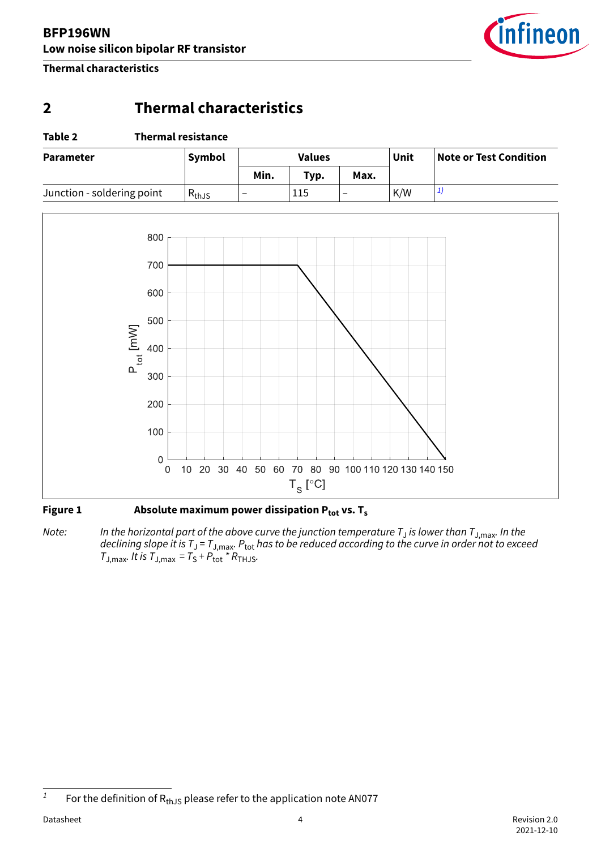

<span id="page-3-0"></span>**Thermal characteristics**

### **2 Thermal characteristics**

#### **Table 2 Thermal resistance**

| <b>Parameter</b>           | Symbol      |      | <b>Values</b> |      |     | <b>Note or Test Condition</b> |
|----------------------------|-------------|------|---------------|------|-----|-------------------------------|
|                            |             | Min. | Typ.          | Max. |     |                               |
| Junction - soldering point | $R_{th,JS}$ | -    | 115           | -    | K/W |                               |



#### Figure 1 **Absolute maximum power dissipation P**<sub>tot</sub> vs. T<sub>s</sub>

*Note: In the horizontal part of the above curve the junction temperature T*<sup>J</sup>  *is lower than T*J,max*. In the declining slope it is T*<sup>J</sup>  *= T*J,max*. P*tot *has to be reduced according to the curve in order not to exceed*  $T_{\text{J,max}}$ *. It is*  $T_{\text{J,max}} = T_{\text{S}} + P_{\text{tot}}$ <sup>\*</sup>  $R_{\text{THJS}}$ .

<sup>&</sup>lt;sup>1</sup> For the definition of  $R_{th,JS}$  please refer to the application note AN077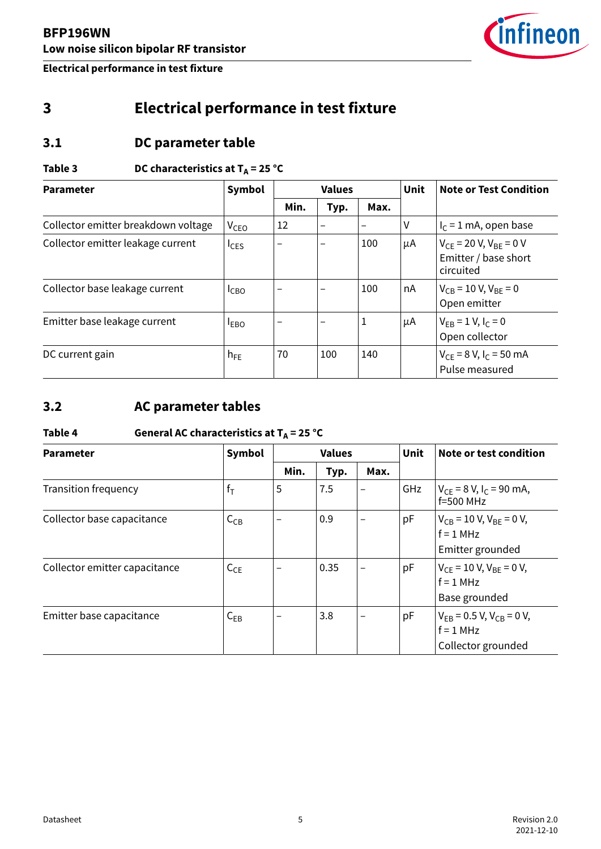

# <span id="page-4-0"></span>**3 Electrical performance in test fixture**

### **3.1 DC parameter table**

### Table 3 **DC characteristics at T<sub>A</sub>** = 25 °C

| <b>Parameter</b>                    | Symbol                 |      | <b>Values</b>            |                   | <b>Unit</b> | <b>Note or Test Condition</b>                                               |
|-------------------------------------|------------------------|------|--------------------------|-------------------|-------------|-----------------------------------------------------------------------------|
|                                     |                        | Min. | Typ.                     | Max.              |             |                                                                             |
| Collector emitter breakdown voltage | <b>V<sub>CEO</sub></b> | 12   | $\overline{\phantom{0}}$ | $\qquad \qquad -$ | V           | $I_C = 1$ mA, open base                                                     |
| Collector emitter leakage current   | $I_{CES}$              |      | $\overline{\phantom{0}}$ | 100               | μA          | $V_{CE}$ = 20 V, V <sub>BE</sub> = 0 V<br>Emitter / base short<br>circuited |
| Collector base leakage current      | $I_{CBO}$              |      |                          | 100               | nA          | $V_{CB} = 10 V, V_{BE} = 0$<br>Open emitter                                 |
| Emitter base leakage current        | $I_{EBO}$              | -    | $\qquad \qquad$          | 1                 | μA          | $V_{FB} = 1 V, I_c = 0$<br>Open collector                                   |
| DC current gain                     | $h_{FE}$               | 70   | 100                      | 140               |             | $V_{CE}$ = 8 V, I <sub>C</sub> = 50 mA<br>Pulse measured                    |

### **3.2 AC parameter tables**

### Table 4 **General AC characteristics at T<sub>A</sub>** = 25 °C

| <b>Parameter</b>              | Symbol   |      | <b>Values</b> |                          | <b>Unit</b> | Note or test condition                                                     |
|-------------------------------|----------|------|---------------|--------------------------|-------------|----------------------------------------------------------------------------|
|                               |          | Min. | Typ.          | Max.                     |             |                                                                            |
| <b>Transition frequency</b>   | $f_T$    | 5    | 7.5           | $\overline{\phantom{0}}$ | GHz         | $V_{CF}$ = 8 V, I <sub>C</sub> = 90 mA,<br>$f=500$ MHz                     |
| Collector base capacitance    | $C_{CB}$ |      | 0.9           |                          | pF          | $V_{CB}$ = 10 V, V <sub>BE</sub> = 0 V,<br>$f = 1$ MHz<br>Emitter grounded |
| Collector emitter capacitance | $C_{CE}$ |      | 0.35          | -                        | pF          | $V_{CE}$ = 10 V, V <sub>BE</sub> = 0 V,<br>$f = 1$ MHz<br>Base grounded    |
| Emitter base capacitance      | $C_{EB}$ | -    | 3.8           | -                        | pF          | $V_{FB} = 0.5 V, V_{CB} = 0 V,$<br>$f = 1$ MHz<br>Collector grounded       |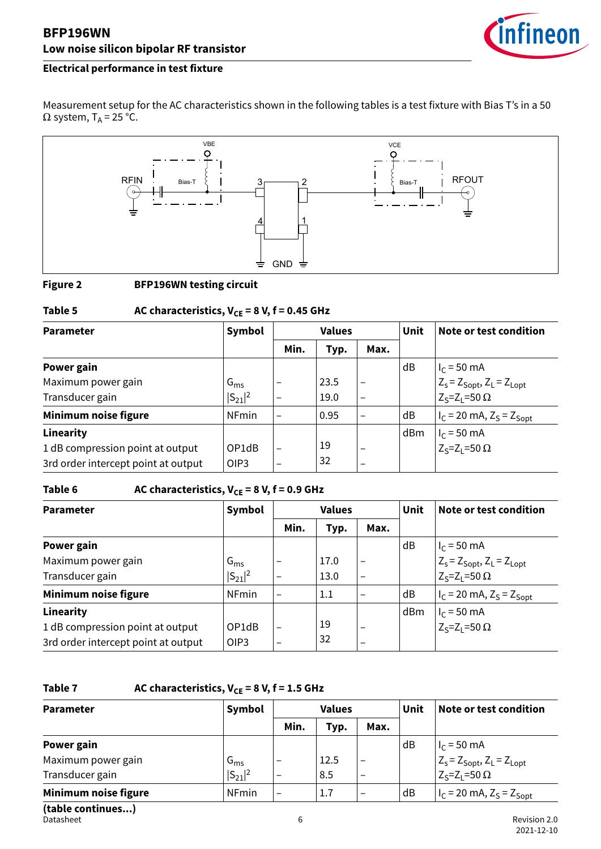

Measurement setup for the AC characteristics shown in the following tables is a test fixture with Bias T's in a 50  $\Omega$  system, T<sub>A</sub> = 25 °C.



#### **Figure 2 BFP196WN testing circuit**

### Table 5  $AC$  characteristics,  $V_{CE} = 8 V$ ,  $f = 0.45$  GHz

| <b>Parameter</b>                    | Symbol          |                          | <b>Values</b><br>Unit |                          |     | Note or test condition                                |
|-------------------------------------|-----------------|--------------------------|-----------------------|--------------------------|-----|-------------------------------------------------------|
|                                     |                 | Min.                     | Typ.                  | Max.                     |     |                                                       |
| Power gain                          |                 |                          |                       |                          | dB  | $I_{C}$ = 50 mA                                       |
| Maximum power gain                  | $G_{\text{ms}}$ | $\qquad \qquad$          | 23.5                  | $\overline{\phantom{0}}$ |     | $Z_s = Z_{Sopt}$ , $Z_L = Z_{Lopt}$                   |
| Transducer gain                     | $ S_{21} ^2$    | $\qquad \qquad -$        | 19.0                  | $\qquad \qquad -$        |     | $Z_S = Z_I = 50 \Omega$                               |
| Minimum noise figure                | <b>NFmin</b>    | $\overline{\phantom{0}}$ | 0.95                  |                          | dB  | $ I_C = 20 \text{ mA}, Z_S = Z_{\text{Spot}} $        |
| Linearity                           |                 |                          |                       |                          | dBm |                                                       |
| 1 dB compression point at output    | OP1dB           | $\overline{\phantom{0}}$ | 19                    | $\overline{\phantom{m}}$ |     | $I_C$ = 50 mA<br>Z <sub>S</sub> =Z <sub>L</sub> =50 Ω |
| 3rd order intercept point at output | OIP3            | $\overline{\phantom{m}}$ | 32                    |                          |     |                                                       |

#### Table 6  $AC characteristics, V_{CE} = 8 V, f = 0.9 GHz$

| <b>Parameter</b>                    | Symbol       |                          | <b>Values</b> |                          | Unit | Note or test condition                                 |
|-------------------------------------|--------------|--------------------------|---------------|--------------------------|------|--------------------------------------------------------|
|                                     |              | Min.                     | Typ.          | Max.                     |      |                                                        |
| Power gain                          |              |                          |               |                          | dB   | $I_C = 50$ mA                                          |
| Maximum power gain                  | $G_{\rm ms}$ | $\overline{\phantom{0}}$ | 17.0          | $\overline{\phantom{0}}$ |      | $Z_s = Z_{\text{Sopt}}$ , $Z_L = Z_{\text{Lopt}}$      |
| Transducer gain                     | $ S_{21} ^2$ |                          | 13.0          | $\qquad \qquad -$        |      | $Z_S = Z_1 = 50 \Omega$                                |
| Minimum noise figure                | <b>NFmin</b> | -                        | 1.1           | -                        | dB   | $I_C = 20 \text{ mA}, Z_S = Z_{Sopt}$                  |
| Linearity                           |              |                          |               |                          | dBm  |                                                        |
| 1 dB compression point at output    | OP1dB        | $\overline{\phantom{0}}$ | 19            |                          |      | $ I_C = 50$ mA<br>Z <sub>S</sub> =Z <sub>L</sub> =50 Ω |
| 3rd order intercept point at output | OIP3         | $\qquad \qquad$          | 32            |                          |      |                                                        |

#### Table 7 **AC characteristics, V<sub>CE</sub>** = 8 V, f = 1.5 GHz

| <b>Parameter</b>     | Symbol       |                          | <b>Values</b> |                          | Unit | Note or test condition                                                       |
|----------------------|--------------|--------------------------|---------------|--------------------------|------|------------------------------------------------------------------------------|
|                      |              | Min.                     | Typ.          | Max.                     |      |                                                                              |
| Power gain           |              |                          |               |                          | dB   | $I_C = 50$ mA                                                                |
| Maximum power gain   | $G_{\rm ms}$ | -                        | 12.5          | $\overline{\phantom{m}}$ |      |                                                                              |
| Transducer gain      | $ S_{21} ^2$ | $\overline{\phantom{m}}$ | 8.5           | $\overline{\phantom{0}}$ |      | $Z_s = Z_{\text{Spot}}$ , $Z_L = Z_{\text{Lopt}}$<br>$Z_s = Z_L = 50 \Omega$ |
| Minimum noise figure | <b>NFmin</b> | $\qquad \qquad$          | 1.7           | $\qquad \qquad$          | dB   | $ I_C = 20 \text{ mA}, Z_S = Z_{Sopt}$                                       |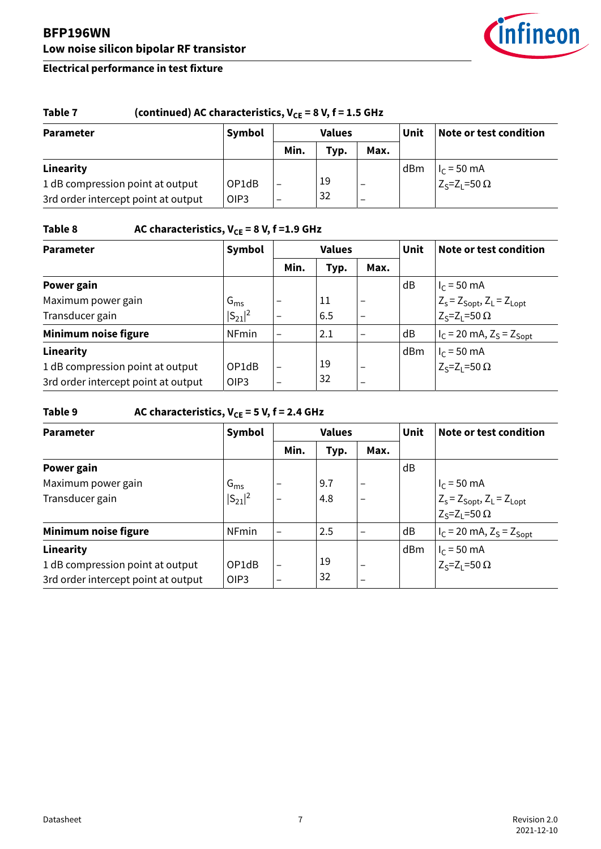

#### Table 7 (continued) AC characteristics,  $V_{CE} = 8 V$ , f = 1.5 GHz **Parameter Symbol Values Unit Note or test condition Min. Typ. Max. Linearity** 1 dB compression point at output 3rd order intercept point at output OP1dB OIP3 – – 19 32 – – dBm  $|I_C = 50$  mA  $Z_S$ = $Z_L$ =50 Ω

### Table 8 **AC characteristics, V<sub>CE</sub>** = 8 V, f = 1.9 GHz

| <b>Parameter</b>                    | Symbol          |                          | <b>Values</b> |                          | <b>Unit</b> | Note or test condition                                                                                |
|-------------------------------------|-----------------|--------------------------|---------------|--------------------------|-------------|-------------------------------------------------------------------------------------------------------|
|                                     |                 | Min.                     | Typ.          | Max.                     |             |                                                                                                       |
| Power gain                          |                 |                          |               |                          | dB          | $I_C = 50$ mA                                                                                         |
| Maximum power gain                  | $G_{\text{ms}}$ | -                        | 11            | $\qquad \qquad$          |             | $\begin{bmatrix} z_s = z_{\text{Spot}}, z_L = z_{\text{Lopt}} \\ z_s = z_L = 50 \Omega \end{bmatrix}$ |
| Transducer gain                     | $ S_{21} ^2$    | -                        | 6.5           | -                        |             |                                                                                                       |
| Minimum noise figure                | <b>NFmin</b>    |                          | 2.1           | -                        | dB          | $Ic$ = 20 mA, $ZS$ = $ZSopt$                                                                          |
| Linearity                           |                 |                          |               |                          | dBm         |                                                                                                       |
| 1 dB compression point at output    | OP1dB           |                          | 19            | $\qquad \qquad$          |             | $ I_C = 50$ mA<br>Z <sub>S</sub> =Z <sub>L</sub> =50 Ω                                                |
| 3rd order intercept point at output | OIP3            | $\overline{\phantom{m}}$ | 32            | $\overline{\phantom{0}}$ |             |                                                                                                       |

#### Table 9 **AC characteristics, V<sub>CE</sub>** = 5 V, f = 2.4 GHz

| <b>Parameter</b>                    | Symbol          |                          | <b>Values</b> |                          | <b>Unit</b> | Note or test condition                                |
|-------------------------------------|-----------------|--------------------------|---------------|--------------------------|-------------|-------------------------------------------------------|
|                                     |                 | Min.                     | Typ.          | Max.                     |             |                                                       |
| Power gain                          |                 |                          |               |                          | dB          |                                                       |
| Maximum power gain                  | $G_{\text{ms}}$ |                          | 9.7           | $\overline{\phantom{0}}$ |             | $I_C = 50$ mA                                         |
| Transducer gain                     | $ S_{21} ^2$    | -                        | 4.8           | $\overline{\phantom{m}}$ |             | $Z_s = Z_{\text{Soft}}$ , $Z_L = Z_{\text{Lopt}}$     |
|                                     |                 |                          |               |                          |             | $Z_S = Z_1 = 50 \Omega$                               |
| Minimum noise figure                | <b>NFmin</b>    | $\overline{\phantom{0}}$ | 2.5           |                          | dB          | $I_C$ = 20 mA, $Z_S$ = $Z_{Sopt}$                     |
| Linearity                           |                 |                          |               |                          | dBm         |                                                       |
| 1 dB compression point at output    | OP1dB           | $\overline{\phantom{0}}$ | 19            | $\qquad \qquad$          |             | $I_C$ = 50 mA<br>Z <sub>S</sub> =Z <sub>L</sub> =50 Ω |
| 3rd order intercept point at output | OIP3            | $\qquad \qquad$          | 32            | $\overline{\phantom{0}}$ |             |                                                       |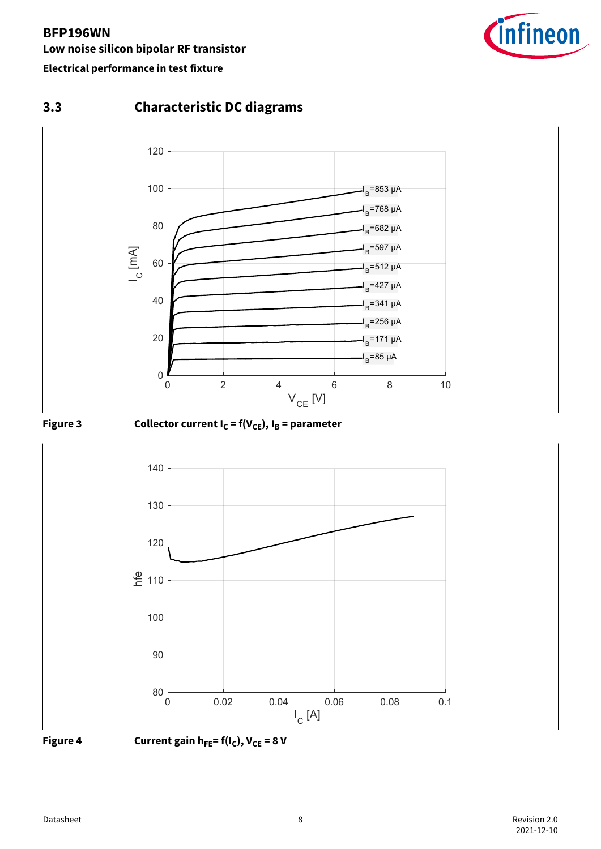<span id="page-7-0"></span>



### **3.3 Characteristic DC diagrams**





Figure 3 Collector current  $I_C = f(V_{CE})$ ,  $I_B =$  parameter





**Figure 4 Current gain h**<sub>FE</sub> =  $f(I_C)$ ,  $V_{CE} = 8 V$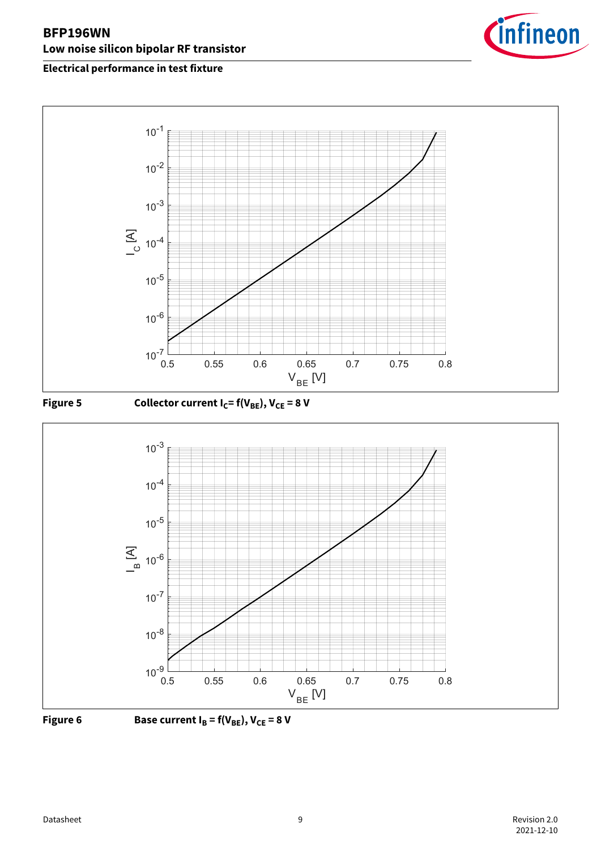







Figure 6 **Base current**  $I_B = f(V_{BE})$ **,**  $V_{CE} = 8 V$ 

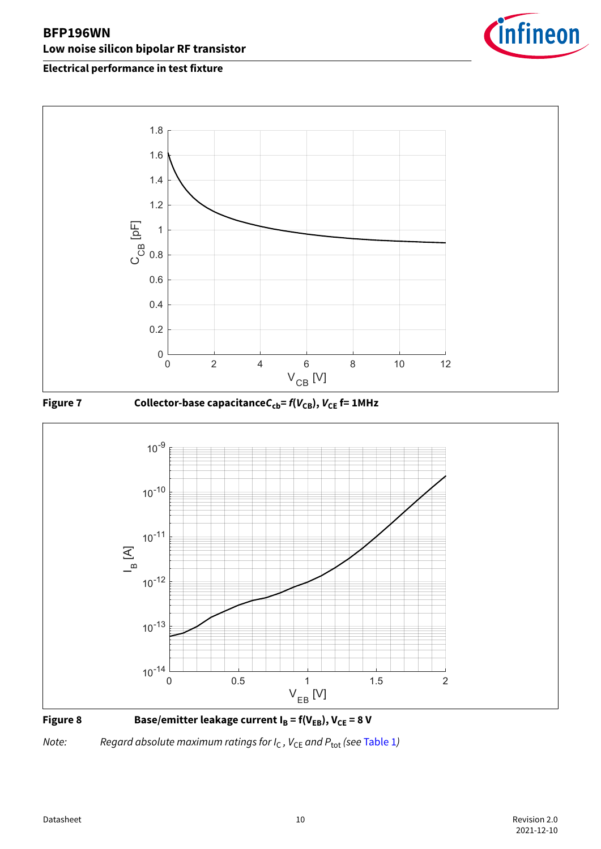









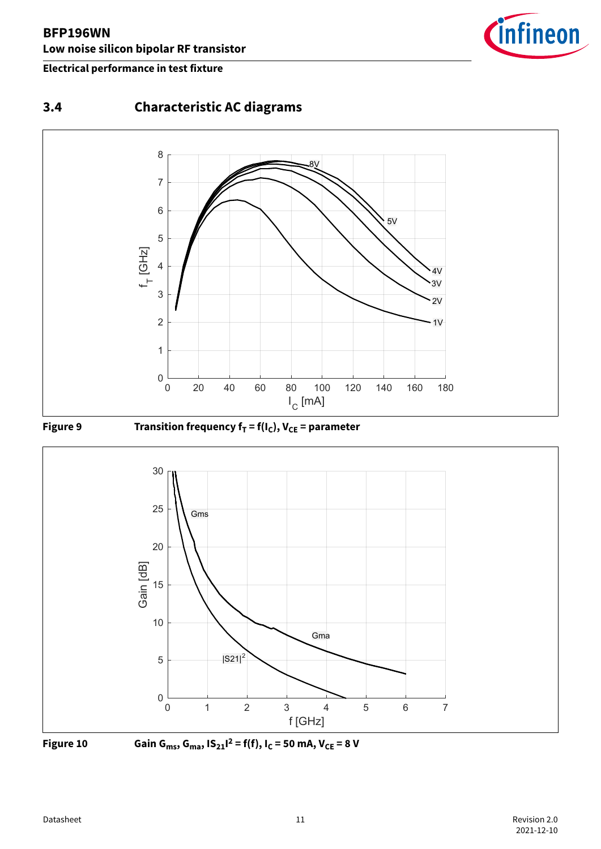

# <span id="page-10-0"></span>**3.4 Characteristic AC diagrams**





**Figure 9** Transition frequency  $f_T = f(I_C)$ ,  $V_{CE} =$  parameter





**Figure 10** Gain G<sub>ms</sub>, G<sub>ma</sub>, IS<sub>21</sub><sup>12</sup> = f(f), I<sub>C</sub> = 50 mA, V<sub>CE</sub> = 8 V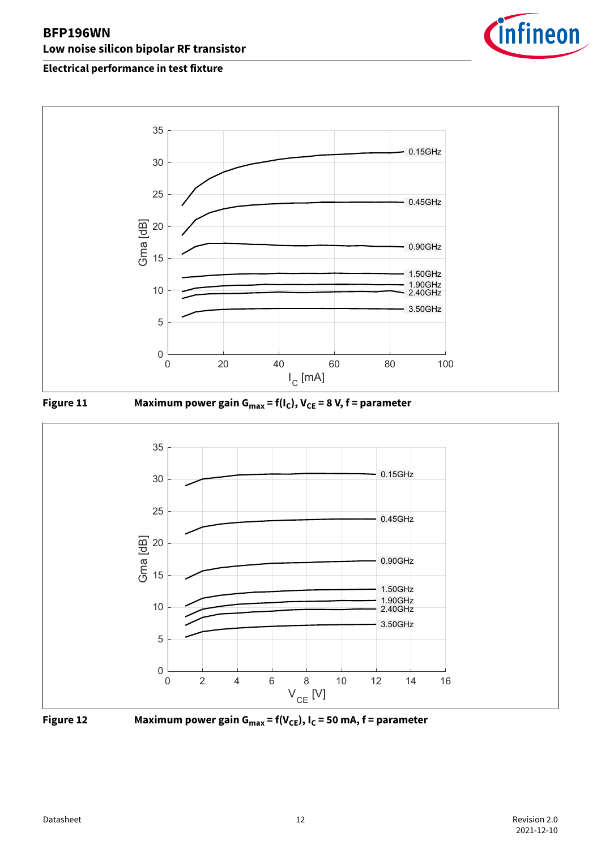









**Figure 12 Maximum power gain Gmax = f(VCE), IC = 50 mA, f = parameter**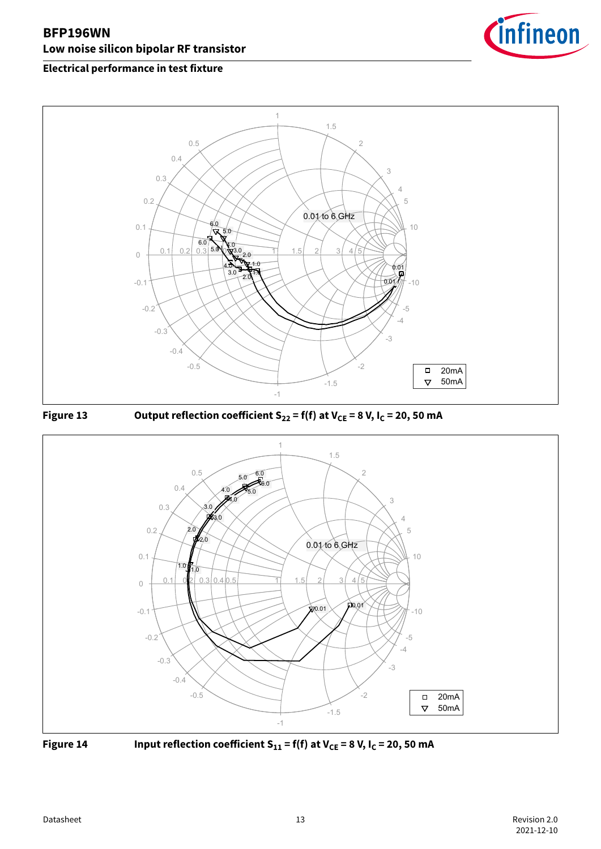

### **Electrical performance in test fixture**









**Figure 14** Input reflection coefficient  $S_{11} = f(f)$  at  $V_{CE} = 8 V$ ,  $I_C = 20$ , 50 mA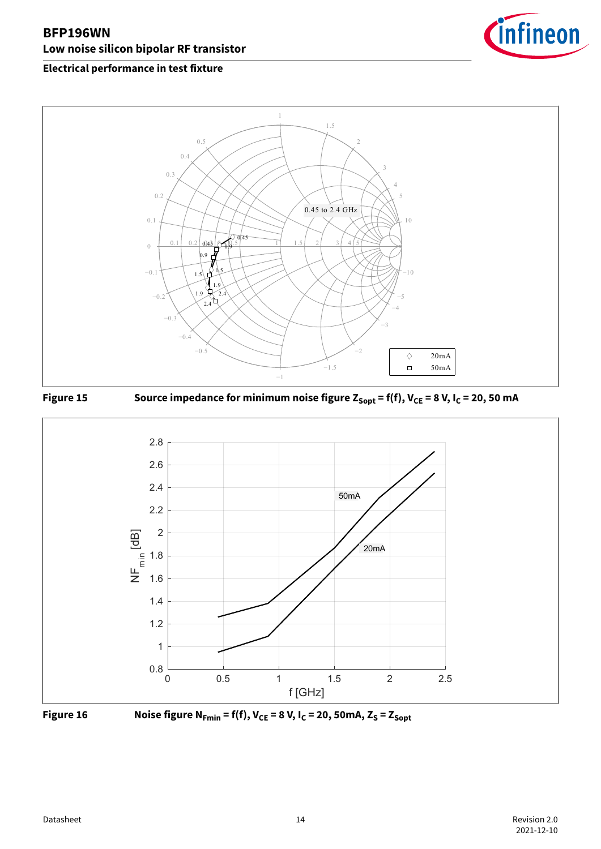









**Figure 16** Noise figure  $N_{Fmin} = f(f)$ ,  $V_{CE} = 8 V$ ,  $I_C = 20$ , 50mA,  $Z_S = Z_{Sopt}$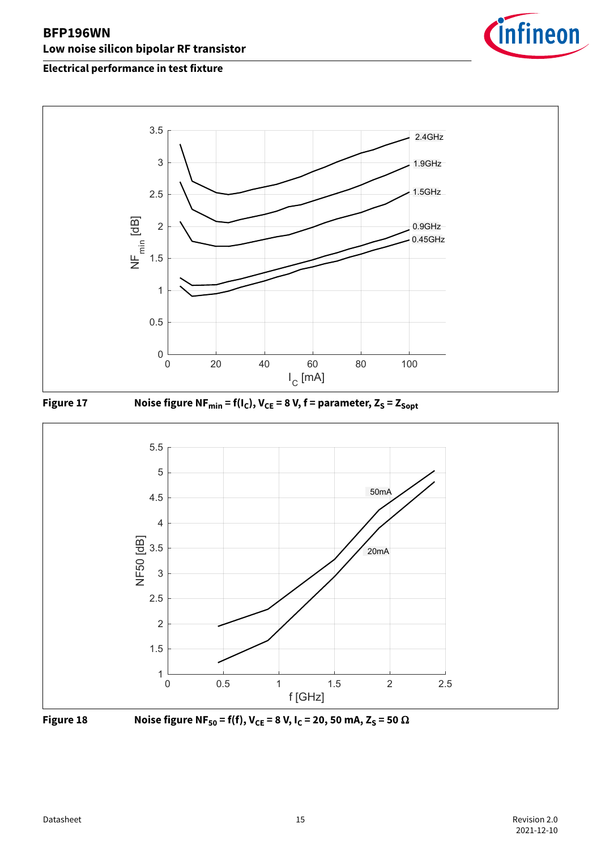









**Figure 18** Noise figure NF<sub>50</sub> = f(f), V<sub>CE</sub> = 8 V, I<sub>C</sub> = 20, 50 mA, Z<sub>S</sub> = 50 Ω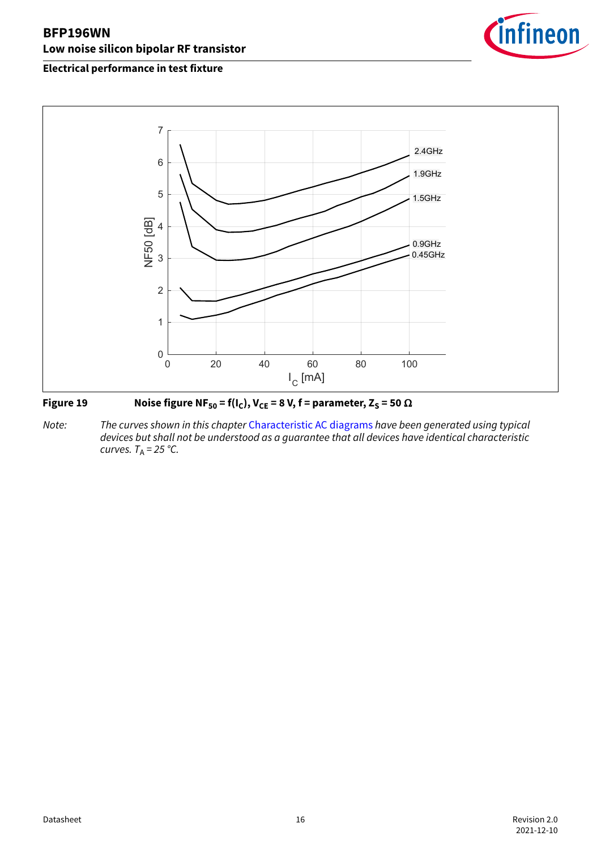

### **Electrical performance in test fixture**



### **Figure 19** Noise figure NF<sub>50</sub> = f(I<sub>C</sub>), V<sub>CE</sub> = 8 V, f = parameter, Z<sub>S</sub> = 50  $\Omega$

*Note: The curves shown in this chapter* [Characteristic AC diagrams](#page-10-0) *have been generated using typical devices but shall not be understood as a guarantee that all devices have identical characteristic curves.*  $T_A = 25 \degree C$ .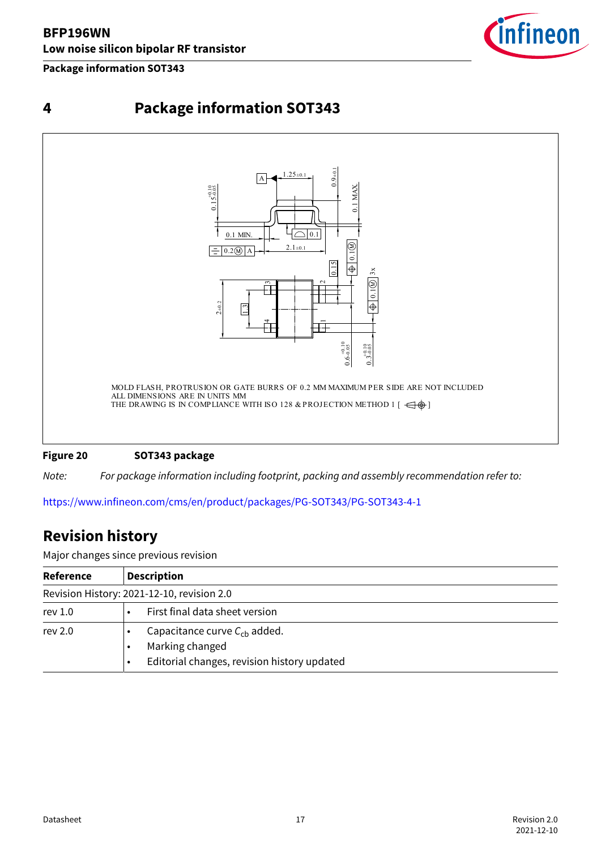#### <span id="page-16-0"></span>**Package information SOT343**







**Figure 20 SOT343 package**

*Note: For package information including footprint, packing and assembly recommendation refer to:*

<https://www.infineon.com/cms/en/product/packages/PG-SOT343/PG-SOT343-4-1>

### **Revision history**

Major changes since previous revision

| Reference | <b>Description</b>                                                                                  |
|-----------|-----------------------------------------------------------------------------------------------------|
|           | Revision History: 2021-12-10, revision 2.0                                                          |
| rev $1.0$ | First final data sheet version                                                                      |
| rev 2.0   | Capacitance curve $C_{ch}$ added.<br>Marking changed<br>Editorial changes, revision history updated |